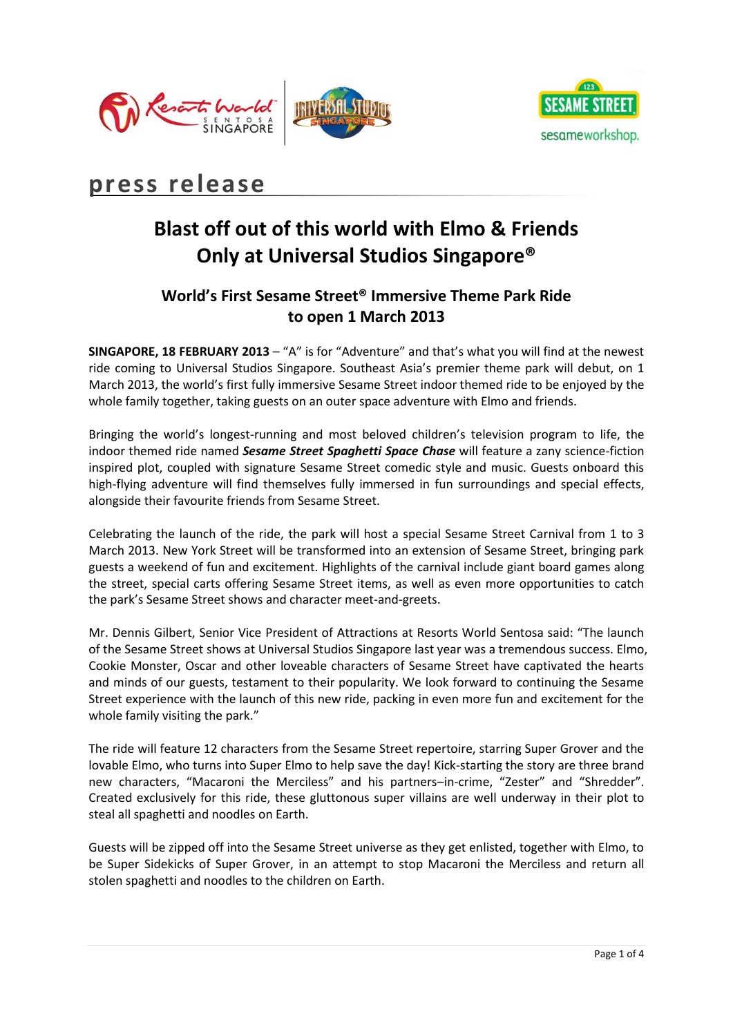



# **press release**

# **Blast off out of this world with Elmo & Friends Only at Universal Studios Singapore®**

## **World's First Sesame Street® Immersive Theme Park Ride to open 1 March 2013**

**SINGAPORE, 18 FEBRUARY 2013** – "A" is for "Adventure" and that's what you will find at the newest ride coming to Universal Studios Singapore. Southeast Asia's premier theme park will debut, on 1 March 2013, the world's first fully immersive Sesame Street indoor themed ride to be enjoyed by the whole family together, taking guests on an outer space adventure with Elmo and friends.

Bringing the world's longest-running and most beloved children's television program to life, the indoor themed ride named *Sesame Street Spaghetti Space Chase* will feature a zany science-fiction inspired plot, coupled with signature Sesame Street comedic style and music. Guests onboard this high-flying adventure will find themselves fully immersed in fun surroundings and special effects, alongside their favourite friends from Sesame Street.

Celebrating the launch of the ride, the park will host a special Sesame Street Carnival from 1 to 3 March 2013. New York Street will be transformed into an extension of Sesame Street, bringing park guests a weekend of fun and excitement. Highlights of the carnival include giant board games along the street, special carts offering Sesame Street items, as well as even more opportunities to catch the park's Sesame Street shows and character meet-and-greets.

Mr. Dennis Gilbert, Senior Vice President of Attractions at Resorts World Sentosa said: "The launch of the Sesame Street shows at Universal Studios Singapore last year was a tremendous success. Elmo, Cookie Monster, Oscar and other loveable characters of Sesame Street have captivated the hearts and minds of our guests, testament to their popularity. We look forward to continuing the Sesame Street experience with the launch of this new ride, packing in even more fun and excitement for the whole family visiting the park."

The ride will feature 12 characters from the Sesame Street repertoire, starring Super Grover and the lovable Elmo, who turns into Super Elmo to help save the day! Kick-starting the story are three brand new characters, "Macaroni the Merciless" and his partners–in-crime, "Zester" and "Shredder". Created exclusively for this ride, these gluttonous super villains are well underway in their plot to steal all spaghetti and noodles on Earth.

Guests will be zipped off into the Sesame Street universe as they get enlisted, together with Elmo, to be Super Sidekicks of Super Grover, in an attempt to stop Macaroni the Merciless and return all stolen spaghetti and noodles to the children on Earth.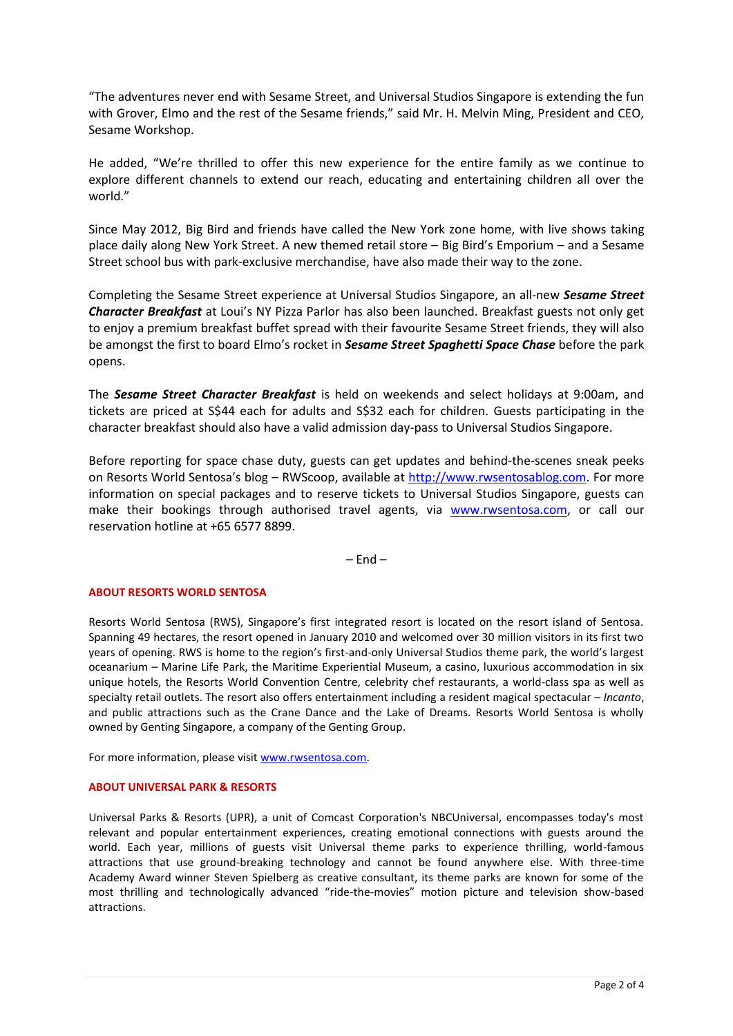"The adventures never end with Sesame Street, and Universal Studios Singapore is extending the fun with Grover, Elmo and the rest of the Sesame friends," said Mr. H. Melvin Ming, President and CEO, Sesame Workshop.

He added, "We're thrilled to offer this new experience for the entire family as we continue to explore different channels to extend our reach, educating and entertaining children all over the world."

Since May 2012, Big Bird and friends have called the New York zone home, with live shows taking place daily along New York Street. A new themed retail store – Big Bird's Emporium – and a Sesame Street school bus with park-exclusive merchandise, have also made their way to the zone.

Completing the Sesame Street experience at Universal Studios Singapore, an all-new *Sesame Street Character Breakfast* at Loui's NY Pizza Parlor has also been launched. Breakfast guests not only get to enjoy a premium breakfast buffet spread with their favourite Sesame Street friends, they will also be amongst the first to board Elmo's rocket in *Sesame Street Spaghetti Space Chase* before the park opens.

The *Sesame Street Character Breakfast* is held on weekends and select holidays at 9:00am, and tickets are priced at S\$44 each for adults and S\$32 each for children. Guests participating in the character breakfast should also have a valid admission day-pass to Universal Studios Singapore.

Before reporting for space chase duty, guests can get updates and behind-the-scenes sneak peeks on Resorts World Sentosa's blog - RWScoop, available at [http://www.rwsentosablog.com.](http://www.rwsentosablog.com/) For more information on special packages and to reserve tickets to Universal Studios Singapore, guests can make their bookings through authorised travel agents, via [www.rwsentosa.com,](http://www.rwsentosa.com/) or call our reservation hotline at +65 6577 8899.

 $-$  Fnd  $-$ 

#### **ABOUT RESORTS WORLD SENTOSA**

Resorts World Sentosa (RWS), Singapore's first integrated resort is located on the resort island of Sentosa. Spanning 49 hectares, the resort opened in January 2010 and welcomed over 30 million visitors in its first two years of opening. RWS is home to the region's first-and-only Universal Studios theme park, the world's largest oceanarium – Marine Life Park, the Maritime Experiential Museum, a casino, luxurious accommodation in six unique hotels, the Resorts World Convention Centre, celebrity chef restaurants, a world-class spa as well as specialty retail outlets. The resort also offers entertainment including a resident magical spectacular – *Incanto*, and public attractions such as the Crane Dance and the Lake of Dreams. Resorts World Sentosa is wholly owned by Genting Singapore, a company of the Genting Group.

For more information, please visit [www.rwsentosa.com.](http://www.rwsentosa.com/)

#### **ABOUT UNIVERSAL PARK & RESORTS**

Universal Parks & Resorts (UPR), a unit of Comcast Corporation's NBCUniversal, encompasses today's most relevant and popular entertainment experiences, creating emotional connections with guests around the world. Each year, millions of guests visit Universal theme parks to experience thrilling, world-famous attractions that use ground-breaking technology and cannot be found anywhere else. With three-time Academy Award winner Steven Spielberg as creative consultant, its theme parks are known for some of the most thrilling and technologically advanced "ride-the-movies" motion picture and television show-based attractions.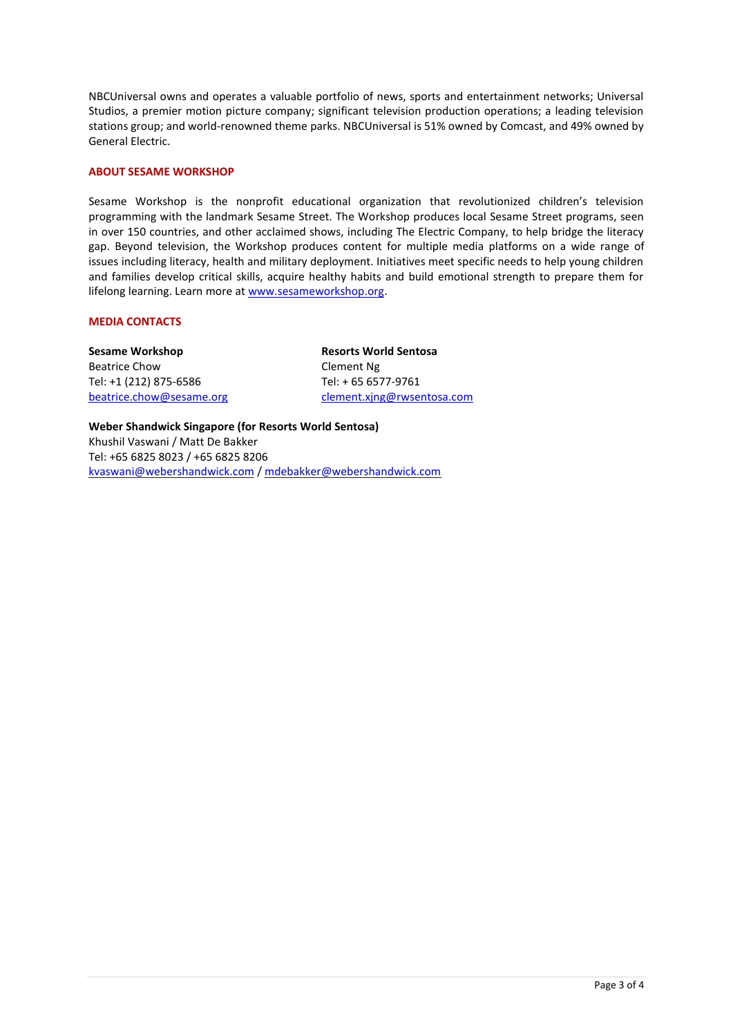NBCUniversal owns and operates a valuable portfolio of news, sports and entertainment networks; Universal Studios, a premier motion picture company; significant television production operations; a leading television stations group; and world-renowned theme parks. NBCUniversal is 51% owned by Comcast, and 49% owned by General Electric.

#### **ABOUT SESAME WORKSHOP**

Sesame Workshop is the nonprofit educational organization that revolutionized children's television programming with the landmark Sesame Street. The Workshop produces local Sesame Street programs, seen in over 150 countries, and other acclaimed shows, including The Electric Company, to help bridge the literacy gap. Beyond television, the Workshop produces content for multiple media platforms on a wide range of issues including literacy, health and military deployment. Initiatives meet specific needs to help young children and families develop critical skills, acquire healthy habits and build emotional strength to prepare them for lifelong learning. Learn more a[t www.sesameworkshop.org.](http://www.sesameworkshop.org/) 

#### **MEDIA CONTACTS**

**Sesame Workshop** Beatrice Chow Tel: +1 (212) 875-6586 [beatrice.chow@sesame.org](mailto:beatrice.chow@sesameworkshop.org) **Resorts World Sentosa** Clement Ng Tel: + 65 6577-9761 [clement.xjng@rwsentosa.com](mailto:clement.xjng@rwsentosa.com)

**Weber Shandwick Singapore (for Resorts World Sentosa)**  Khushil Vaswani / Matt De Bakker Tel: +65 6825 8023 / +65 6825 8206 [kvaswani@webershandwick.com](mailto:kvaswani@webershandwick.com) / [mdebakker@webershandwick.com](mailto:mdebakker@webershandwick.com)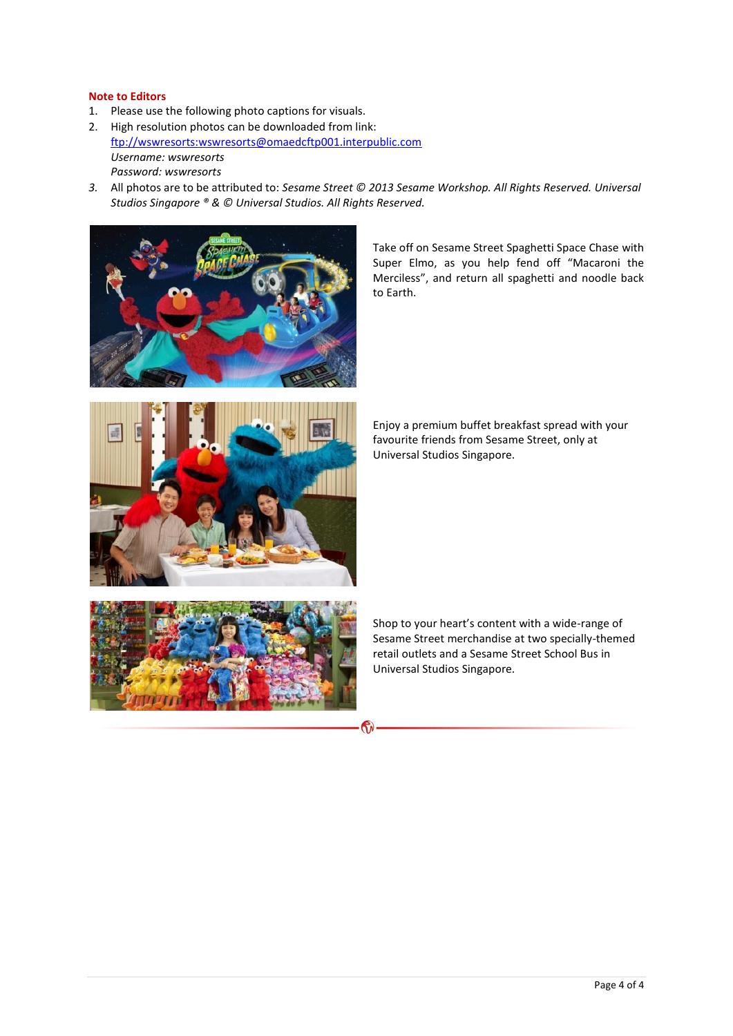#### **Note to Editors**

- 1. Please use the following photo captions for visuals.
- 2. High resolution photos can be downloaded from link: [ftp://wswresorts:wswresorts@omaedcftp001.interpublic.com](ftp://wswresorts:wswresorts@omaedcftp001.interpublic.com/) *Username: wswresorts Password: wswresorts*
- *3.* All photos are to be attributed to: *Sesame Street © 2013 Sesame Workshop. All Rights Reserved. Universal Studios Singapore ® & © Universal Studios. All Rights Reserved.*



Take off on Sesame Street Spaghetti Space Chase with Super Elmo, as you help fend off "Macaroni the Merciless", and return all spaghetti and noodle back to Earth.



Enjoy a premium buffet breakfast spread with your favourite friends from Sesame Street, only at Universal Studios Singapore.



Shop to your heart's content with a wide-range of Sesame Street merchandise at two specially-themed retail outlets and a Sesame Street School Bus in Universal Studios Singapore.

 $\mathbf{C}$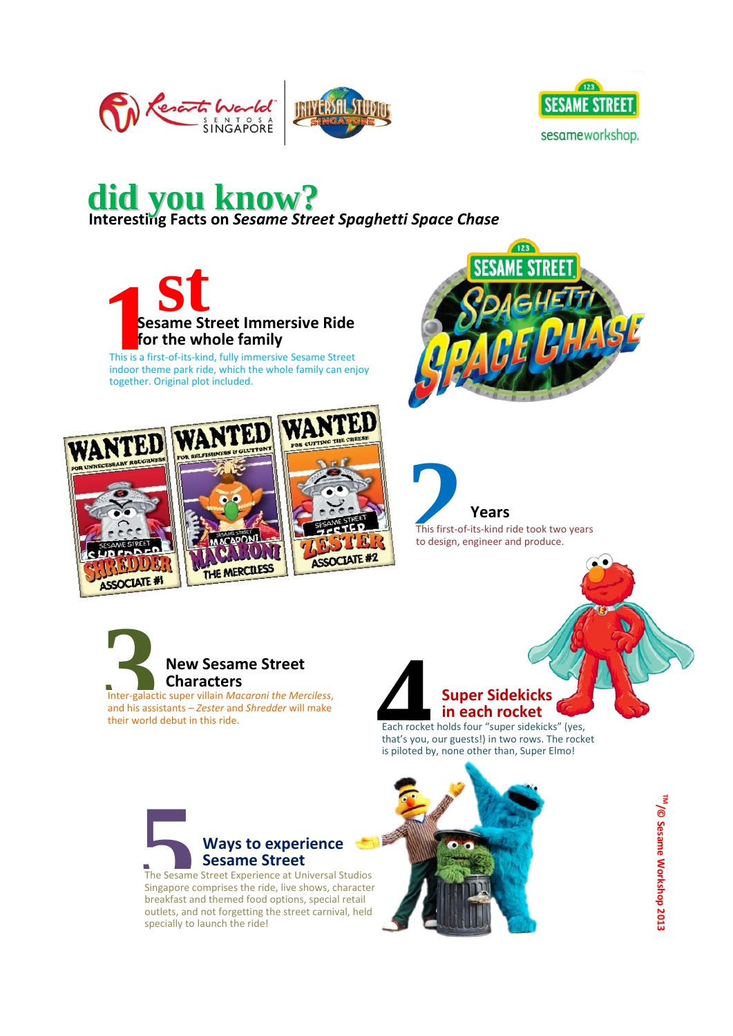



## **Interesting Facts on** *Sesame Street Spaghetti Space Chase* **did you know?**



This is a first-of-its-kind, fully immersive Sesame Street indoor theme park ride, which the whole family can enjoy together. Original plot included.









Inter-galactic super villain *Macaroni the Merciless*, and his assistants – *Zester* and *Shredder* will make their world debut in this ride.



Each rocket holds four "super sidekicks" (yes, that's you, our guests!) in two rows. The rocket is piloted by, none other than, Super Elmo!



The Sesame Street Experience at Universal Studios Singapore comprises the ride, live shows, character breakfast and themed food options, special retail outlets, and not forgetting the street carnival, held specially to launch the ride!



<sup>TM</sup>/© Sesame Workshop 2013 **/© Sesame Workshop 2013**